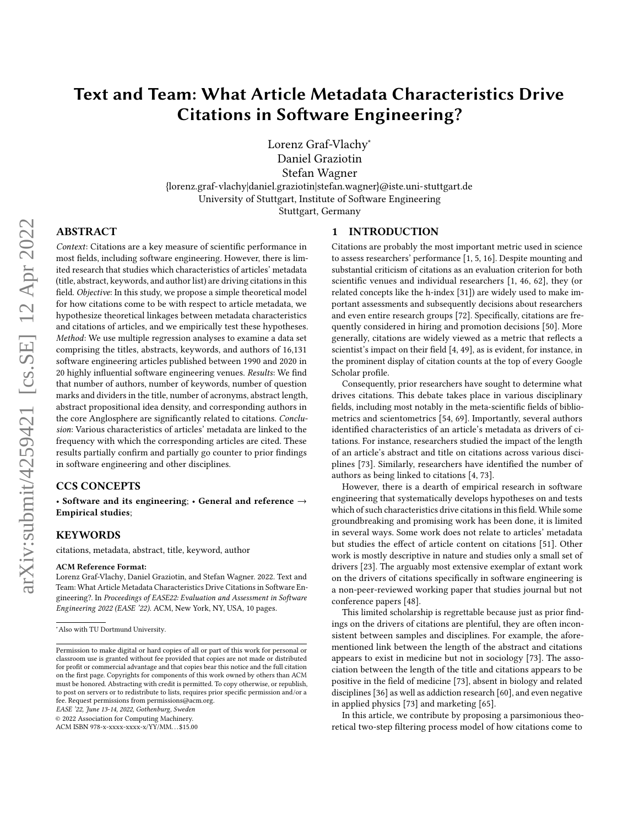# Text and Team: What Article Metadata Characteristics Drive Citations in Software Engineering?

Lorenz Graf-Vlachy<sup>∗</sup>

Daniel Graziotin

Stefan Wagner

{lorenz.graf-vlachy|daniel.graziotin|stefan.wagner}@iste.uni-stuttgart.de University of Stuttgart, Institute of Software Engineering Stuttgart, Germany

## ABSTRACT

Context: Citations are a key measure of scientific performance in most fields, including software engineering. However, there is limited research that studies which characteristics of articles' metadata (title, abstract, keywords, and author list) are driving citations in this field. Objective: In this study, we propose a simple theoretical model for how citations come to be with respect to article metadata, we hypothesize theoretical linkages between metadata characteristics and citations of articles, and we empirically test these hypotheses. Method: We use multiple regression analyses to examine a data set comprising the titles, abstracts, keywords, and authors of 16,131 software engineering articles published between 1990 and 2020 in 20 highly influential software engineering venues. Results: We find that number of authors, number of keywords, number of question marks and dividers in the title, number of acronyms, abstract length, abstract propositional idea density, and corresponding authors in the core Anglosphere are significantly related to citations. Conclusion: Various characteristics of articles' metadata are linked to the frequency with which the corresponding articles are cited. These results partially confirm and partially go counter to prior findings in software engineering and other disciplines.

### CCS CONCEPTS

• Software and its engineering; • General and reference  $\rightarrow$ Empirical studies;

## **KEYWORDS**

citations, metadata, abstract, title, keyword, author

#### ACM Reference Format:

Lorenz Graf-Vlachy, Daniel Graziotin, and Stefan Wagner. 2022. Text and Team: What Article Metadata Characteristics Drive Citations in Software Engineering?. In Proceedings of EASE22: Evaluation and Assessment in Software Engineering 2022 (EASE '22). ACM, New York, NY, USA, [10](#page-9-0) pages.

EASE '22, June 13-14, 2022, Gothenburg, Sweden

© 2022 Association for Computing Machinery.

ACM ISBN 978-x-xxxx-xxxx-x/YY/MM. . . \$15.00

#### 1 INTRODUCTION

Citations are probably the most important metric used in science to assess researchers' performance [\[1,](#page-8-0) [5,](#page-8-1) [16\]](#page-8-2). Despite mounting and substantial criticism of citations as an evaluation criterion for both scientific venues and individual researchers [\[1,](#page-8-0) [46,](#page-9-1) [62\]](#page-9-2), they (or related concepts like the h-index [\[31\]](#page-8-3)) are widely used to make important assessments and subsequently decisions about researchers and even entire research groups [\[72\]](#page-9-3). Specifically, citations are frequently considered in hiring and promotion decisions [\[50\]](#page-9-4). More generally, citations are widely viewed as a metric that reflects a scientist's impact on their field [\[4,](#page-8-4) [49\]](#page-9-5), as is evident, for instance, in the prominent display of citation counts at the top of every Google Scholar profile.

Consequently, prior researchers have sought to determine what drives citations. This debate takes place in various disciplinary fields, including most notably in the meta-scientific fields of bibliometrics and scientometrics [\[54,](#page-9-6) [69\]](#page-9-7). Importantly, several authors identified characteristics of an article's metadata as drivers of citations. For instance, researchers studied the impact of the length of an article's abstract and title on citations across various disciplines [\[73\]](#page-9-8). Similarly, researchers have identified the number of authors as being linked to citations [\[4,](#page-8-4) [73\]](#page-9-8).

However, there is a dearth of empirical research in software engineering that systematically develops hypotheses on and tests which of such characteristics drive citations in this field. While some groundbreaking and promising work has been done, it is limited in several ways. Some work does not relate to articles' metadata but studies the effect of article content on citations [\[51\]](#page-9-9). Other work is mostly descriptive in nature and studies only a small set of drivers [\[23\]](#page-8-5). The arguably most extensive exemplar of extant work on the drivers of citations specifically in software engineering is a non-peer-reviewed working paper that studies journal but not conference papers [\[48\]](#page-9-10).

This limited scholarship is regrettable because just as prior findings on the drivers of citations are plentiful, they are often inconsistent between samples and disciplines. For example, the aforementioned link between the length of the abstract and citations appears to exist in medicine but not in sociology [\[73\]](#page-9-8). The association between the length of the title and citations appears to be positive in the field of medicine [\[73\]](#page-9-8), absent in biology and related disciplines [\[36\]](#page-9-11) as well as addiction research [\[60\]](#page-9-12), and even negative in applied physics [\[73\]](#page-9-8) and marketing [\[65\]](#page-9-13).

In this article, we contribute by proposing a parsimonious theoretical two-step filtering process model of how citations come to

<sup>∗</sup>Also with TU Dortmund University.

Permission to make digital or hard copies of all or part of this work for personal or classroom use is granted without fee provided that copies are not made or distributed for profit or commercial advantage and that copies bear this notice and the full citation on the first page. Copyrights for components of this work owned by others than ACM must be honored. Abstracting with credit is permitted. To copy otherwise, or republish, to post on servers or to redistribute to lists, requires prior specific permission and/or a fee. Request permissions from permissions@acm.org.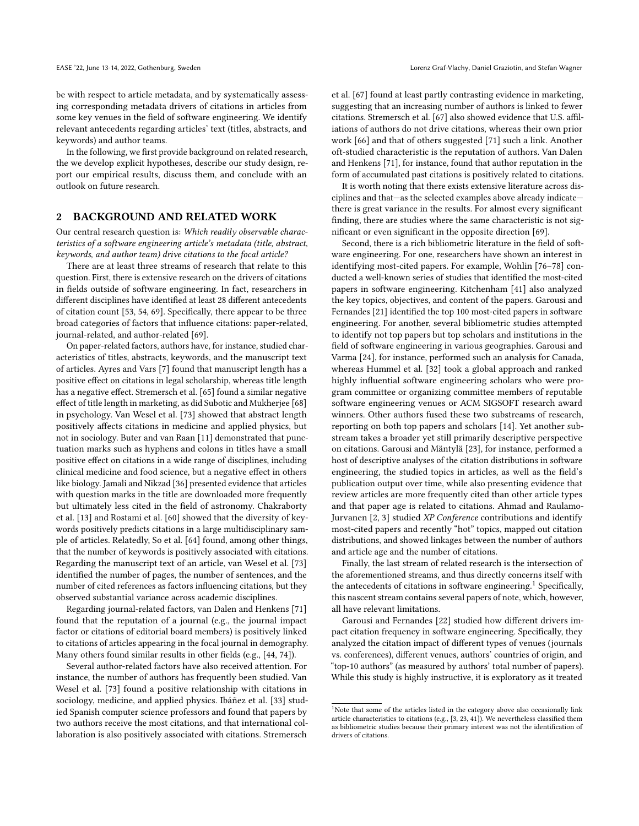be with respect to article metadata, and by systematically assessing corresponding metadata drivers of citations in articles from some key venues in the field of software engineering. We identify relevant antecedents regarding articles' text (titles, abstracts, and keywords) and author teams.

In the following, we first provide background on related research, the we develop explicit hypotheses, describe our study design, report our empirical results, discuss them, and conclude with an outlook on future research.

## 2 BACKGROUND AND RELATED WORK

Our central research question is: Which readily observable characteristics of a software engineering article's metadata (title, abstract, keywords, and author team) drive citations to the focal article?

There are at least three streams of research that relate to this question. First, there is extensive research on the drivers of citations in fields outside of software engineering. In fact, researchers in different disciplines have identified at least 28 different antecedents of citation count [\[53,](#page-9-14) [54,](#page-9-6) [69\]](#page-9-7). Specifically, there appear to be three broad categories of factors that influence citations: paper-related, journal-related, and author-related [\[69\]](#page-9-7).

On paper-related factors, authors have, for instance, studied characteristics of titles, abstracts, keywords, and the manuscript text of articles. [Ayres and Vars](#page-8-6) [\[7\]](#page-8-6) found that manuscript length has a positive effect on citations in legal scholarship, whereas title length has a negative effect. [Stremersch et al.](#page-9-13) [\[65\]](#page-9-13) found a similar negative effect of title length in marketing, as did [Subotic and Mukherjee](#page-9-15) [\[68\]](#page-9-15) in psychology. Van Wesel et al. [\[73\]](#page-9-8) showed that abstract length positively affects citations in medicine and applied physics, but not in sociology. [Buter and van Raan](#page-8-7) [\[11\]](#page-8-7) demonstrated that punctuation marks such as hyphens and colons in titles have a small positive effect on citations in a wide range of disciplines, including clinical medicine and food science, but a negative effect in others like biology. [Jamali and Nikzad](#page-9-11) [\[36\]](#page-9-11) presented evidence that articles with question marks in the title are downloaded more frequently but ultimately less cited in the field of astronomy. [Chakraborty](#page-8-8) [et al.](#page-8-8) [\[13\]](#page-8-8) and [Rostami et al.](#page-9-12) [\[60\]](#page-9-12) showed that the diversity of keywords positively predicts citations in a large multidisciplinary sample of articles. Relatedly, [So et al.](#page-9-16) [\[64\]](#page-9-16) found, among other things, that the number of keywords is positively associated with citations. Regarding the manuscript text of an article, [van Wesel et al.](#page-9-8) [\[73\]](#page-9-8) identified the number of pages, the number of sentences, and the number of cited references as factors influencing citations, but they observed substantial variance across academic disciplines.

Regarding journal-related factors, [van Dalen and Henkens](#page-9-17) [\[71\]](#page-9-17) found that the reputation of a journal (e.g., the journal impact factor or citations of editorial board members) is positively linked to citations of articles appearing in the focal journal in demography. Many others found similar results in other fields (e.g., [\[44,](#page-9-18) [74\]](#page-9-19)).

Several author-related factors have also received attention. For instance, the number of authors has frequently been studied. Van Wesel et al. [\[73\]](#page-9-8) found a positive relationship with citations in sociology, medicine, and applied physics. [Ibáñez et al.](#page-8-9) [\[33\]](#page-8-9) studied Spanish computer science professors and found that papers by two authors receive the most citations, and that international collaboration is also positively associated with citations. [Stremersch](#page-9-20)

[et al.](#page-9-20) [\[67\]](#page-9-20) found at least partly contrasting evidence in marketing, suggesting that an increasing number of authors is linked to fewer citations. [Stremersch et al.](#page-9-20) [\[67\]](#page-9-20) also showed evidence that U.S. affiliations of authors do not drive citations, whereas their own prior work [\[66\]](#page-9-21) and that of others suggested [\[71\]](#page-9-17) such a link. Another oft-studied characteristic is the reputation of authors. Van Dalen and Henkens [\[71\]](#page-9-17), for instance, found that author reputation in the form of accumulated past citations is positively related to citations.

It is worth noting that there exists extensive literature across disciplines and that—as the selected examples above already indicate there is great variance in the results. For almost every significant finding, there are studies where the same characteristic is not significant or even significant in the opposite direction [\[69\]](#page-9-7).

Second, there is a rich bibliometric literature in the field of software engineering. For one, researchers have shown an interest in identifying most-cited papers. For example, [Wohlin](#page-9-22) [\[76](#page-9-22)[–78\]](#page-9-23) conducted a well-known series of studies that identified the most-cited papers in software engineering. [Kitchenham](#page-9-24) [\[41\]](#page-9-24) also analyzed the key topics, objectives, and content of the papers. [Garousi and](#page-8-10) [Fernandes](#page-8-10) [\[21\]](#page-8-10) identified the top 100 most-cited papers in software engineering. For another, several bibliometric studies attempted to identify not top papers but top scholars and institutions in the field of software engineering in various geographies. [Garousi and](#page-8-11) [Varma](#page-8-11) [\[24\]](#page-8-11), for instance, performed such an analysis for Canada, whereas [Hummel et al.](#page-8-12) [\[32\]](#page-8-12) took a global approach and ranked highly influential software engineering scholars who were program committee or organizing committee members of reputable software engineering venues or ACM SIGSOFT research award winners. Other authors fused these two substreams of research, reporting on both top papers and scholars [\[14\]](#page-8-13). Yet another substream takes a broader yet still primarily descriptive perspective on citations. [Garousi and Mäntylä](#page-8-5) [\[23\]](#page-8-5), for instance, performed a host of descriptive analyses of the citation distributions in software engineering, the studied topics in articles, as well as the field's publication output over time, while also presenting evidence that review articles are more frequently cited than other article types and that paper age is related to citations. [Ahmad and Raulamo-](#page-8-14)[Jurvanen](#page-8-14) [\[2,](#page-8-15) [3\]](#page-8-14) studied XP Conference contributions and identify most-cited papers and recently "hot" topics, mapped out citation distributions, and showed linkages between the number of authors and article age and the number of citations.

Finally, the last stream of related research is the intersection of the aforementioned streams, and thus directly concerns itself with the antecedents of citations in software engineering.<sup>[1](#page-1-0)</sup> Specifically, this nascent stream contains several papers of note, which, however, all have relevant limitations.

[Garousi and Fernandes](#page-8-16) [\[22\]](#page-8-16) studied how different drivers impact citation frequency in software engineering. Specifically, they analyzed the citation impact of different types of venues (journals vs. conferences), different venues, authors' countries of origin, and "top-10 authors" (as measured by authors' total number of papers). While this study is highly instructive, it is exploratory as it treated

<span id="page-1-0"></span> $1$ Note that some of the articles listed in the category above also occasionally link article characteristics to citations (e.g., [\[3,](#page-8-14) [23,](#page-8-5) [41\]](#page-9-24)). We nevertheless classified them as bibliometric studies because their primary interest was not the identification of drivers of citations.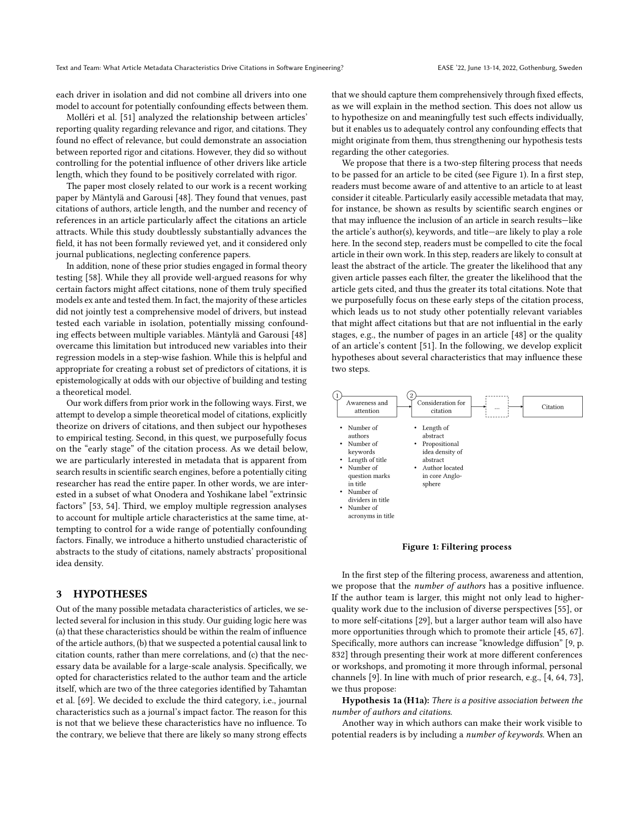each driver in isolation and did not combine all drivers into one model to account for potentially confounding effects between them.

[Molléri et al.](#page-9-9) [\[51\]](#page-9-9) analyzed the relationship between articles' reporting quality regarding relevance and rigor, and citations. They found no effect of relevance, but could demonstrate an association between reported rigor and citations. However, they did so without controlling for the potential influence of other drivers like article length, which they found to be positively correlated with rigor.

The paper most closely related to our work is a recent working paper by [Mäntylä and Garousi](#page-9-10) [\[48\]](#page-9-10). They found that venues, past citations of authors, article length, and the number and recency of references in an article particularly affect the citations an article attracts. While this study doubtlessly substantially advances the field, it has not been formally reviewed yet, and it considered only journal publications, neglecting conference papers.

In addition, none of these prior studies engaged in formal theory testing [\[58\]](#page-9-25). While they all provide well-argued reasons for why certain factors might affect citations, none of them truly specified models ex ante and tested them. In fact, the majority of these articles did not jointly test a comprehensive model of drivers, but instead tested each variable in isolation, potentially missing confounding effects between multiple variables. [Mäntylä and Garousi](#page-9-10) [\[48\]](#page-9-10) overcame this limitation but introduced new variables into their regression models in a step-wise fashion. While this is helpful and appropriate for creating a robust set of predictors of citations, it is epistemologically at odds with our objective of building and testing a theoretical model.

Our work differs from prior work in the following ways. First, we attempt to develop a simple theoretical model of citations, explicitly theorize on drivers of citations, and then subject our hypotheses to empirical testing. Second, in this quest, we purposefully focus on the "early stage" of the citation process. As we detail below, we are particularly interested in metadata that is apparent from search results in scientific search engines, before a potentially citing researcher has read the entire paper. In other words, we are interested in a subset of what [Onodera and Yoshikane](#page-9-14) label "extrinsic factors" [\[53,](#page-9-14) [54\]](#page-9-6). Third, we employ multiple regression analyses to account for multiple article characteristics at the same time, attempting to control for a wide range of potentially confounding factors. Finally, we introduce a hitherto unstudied characteristic of abstracts to the study of citations, namely abstracts' propositional idea density.

#### 3 HYPOTHESES

Out of the many possible metadata characteristics of articles, we selected several for inclusion in this study. Our guiding logic here was (a) that these characteristics should be within the realm of influence of the article authors, (b) that we suspected a potential causal link to citation counts, rather than mere correlations, and (c) that the necessary data be available for a large-scale analysis. Specifically, we opted for characteristics related to the author team and the article itself, which are two of the three categories identified by [Tahamtan](#page-9-7) [et al.](#page-9-7) [\[69\]](#page-9-7). We decided to exclude the third category, i.e., journal characteristics such as a journal's impact factor. The reason for this is not that we believe these characteristics have no influence. To the contrary, we believe that there are likely so many strong effects

that we should capture them comprehensively through fixed effects, as we will explain in the method section. This does not allow us to hypothesize on and meaningfully test such effects individually, but it enables us to adequately control any confounding effects that might originate from them, thus strengthening our hypothesis tests regarding the other categories.

We propose that there is a two-step filtering process that needs to be passed for an article to be cited (see Figure [1\)](#page-2-0). In a first step, readers must become aware of and attentive to an article to at least consider it citeable. Particularly easily accessible metadata that may, for instance, be shown as results by scientific search engines or that may influence the inclusion of an article in search results—like the article's author(s), keywords, and title—are likely to play a role here. In the second step, readers must be compelled to cite the focal article in their own work. In this step, readers are likely to consult at least the abstract of the article. The greater the likelihood that any given article passes each filter, the greater the likelihood that the article gets cited, and thus the greater its total citations. Note that we purposefully focus on these early steps of the citation process, which leads us to not study other potentially relevant variables that might affect citations but that are not influential in the early stages, e.g., the number of pages in an article [\[48\]](#page-9-10) or the quality of an article's content [\[51\]](#page-9-9). In the following, we develop explicit hypotheses about several characteristics that may influence these two steps.

<span id="page-2-0"></span>

Figure 1: Filtering process

In the first step of the filtering process, awareness and attention, we propose that the number of authors has a positive influence. If the author team is larger, this might not only lead to higherquality work due to the inclusion of diverse perspectives [\[55\]](#page-9-26), or to more self-citations [\[29\]](#page-8-17), but a larger author team will also have more opportunities through which to promote their article [\[45,](#page-9-27) [67\]](#page-9-20). Specifically, more authors can increase "knowledge diffusion" [\[9,](#page-8-18) p. 832] through presenting their work at more different conferences or workshops, and promoting it more through informal, personal channels [\[9\]](#page-8-18). In line with much of prior research, e.g., [\[4,](#page-8-4) [64,](#page-9-16) [73\]](#page-9-8), we thus propose:

Hypothesis 1a (H1a): There is a positive association between the number of authors and citations.

Another way in which authors can make their work visible to potential readers is by including a number of keywords. When an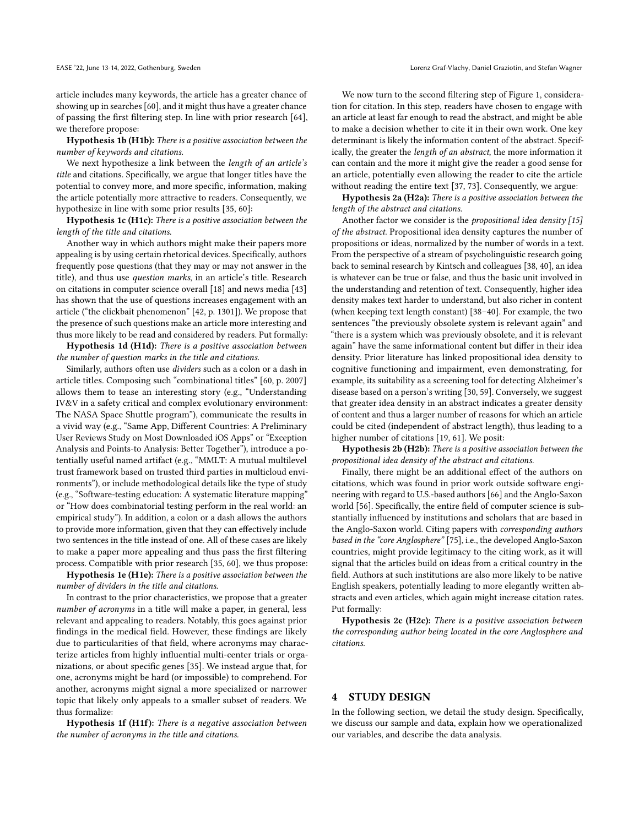article includes many keywords, the article has a greater chance of showing up in searches [\[60\]](#page-9-12), and it might thus have a greater chance of passing the first filtering step. In line with prior research [\[64\]](#page-9-16), we therefore propose:

Hypothesis 1b (H1b): There is a positive association between the number of keywords and citations.

We next hypothesize a link between the length of an article's title and citations. Specifically, we argue that longer titles have the potential to convey more, and more specific, information, making the article potentially more attractive to readers. Consequently, we hypothesize in line with some prior results [\[35,](#page-9-28) [60\]](#page-9-12):

Hypothesis 1c (H1c): There is a positive association between the length of the title and citations.

Another way in which authors might make their papers more appealing is by using certain rhetorical devices. Specifically, authors frequently pose questions (that they may or may not answer in the title), and thus use question marks, in an article's title. Research on citations in computer science overall [\[18\]](#page-8-19) and news media [\[43\]](#page-9-29) has shown that the use of questions increases engagement with an article ("the clickbait phenomenon" [\[42,](#page-9-30) p. 1301]). We propose that the presence of such questions make an article more interesting and thus more likely to be read and considered by readers. Put formally:

Hypothesis 1d (H1d): There is a positive association between the number of question marks in the title and citations.

Similarly, authors often use dividers such as a colon or a dash in article titles. Composing such "combinational titles" [\[60,](#page-9-12) p. 2007] allows them to tease an interesting story (e.g., "Understanding IV&V in a safety critical and complex evolutionary environment: The NASA Space Shuttle program"), communicate the results in a vivid way (e.g., "Same App, Different Countries: A Preliminary User Reviews Study on Most Downloaded iOS Apps" or "Exception Analysis and Points-to Analysis: Better Together"), introduce a potentially useful named artifact (e.g., "MMLT: A mutual multilevel trust framework based on trusted third parties in multicloud environments"), or include methodological details like the type of study (e.g., "Software-testing education: A systematic literature mapping" or "How does combinatorial testing perform in the real world: an empirical study"). In addition, a colon or a dash allows the authors to provide more information, given that they can effectively include two sentences in the title instead of one. All of these cases are likely to make a paper more appealing and thus pass the first filtering process. Compatible with prior research [\[35,](#page-9-28) [60\]](#page-9-12), we thus propose:

Hypothesis 1e (H1e): There is a positive association between the number of dividers in the title and citations.

In contrast to the prior characteristics, we propose that a greater number of acronyms in a title will make a paper, in general, less relevant and appealing to readers. Notably, this goes against prior findings in the medical field. However, these findings are likely due to particularities of that field, where acronyms may characterize articles from highly influential multi-center trials or organizations, or about specific genes [\[35\]](#page-9-28). We instead argue that, for one, acronyms might be hard (or impossible) to comprehend. For another, acronyms might signal a more specialized or narrower topic that likely only appeals to a smaller subset of readers. We thus formalize:

Hypothesis 1f (H1f): There is a negative association between the number of acronyms in the title and citations.

We now turn to the second filtering step of Figure [1,](#page-2-0) consideration for citation. In this step, readers have chosen to engage with an article at least far enough to read the abstract, and might be able to make a decision whether to cite it in their own work. One key determinant is likely the information content of the abstract. Specifically, the greater the length of an abstract, the more information it can contain and the more it might give the reader a good sense for an article, potentially even allowing the reader to cite the article without reading the entire text [\[37,](#page-9-31) [73\]](#page-9-8). Consequently, we argue:

Hypothesis 2a (H2a): There is a positive association between the length of the abstract and citations.

Another factor we consider is the *propositional idea density*  $[15]$ of the abstract. Propositional idea density captures the number of propositions or ideas, normalized by the number of words in a text. From the perspective of a stream of psycholinguistic research going back to seminal research by Kintsch and colleagues [\[38,](#page-9-32) [40\]](#page-9-33), an idea is whatever can be true or false, and thus the basic unit involved in the understanding and retention of text. Consequently, higher idea density makes text harder to understand, but also richer in content (when keeping text length constant) [\[38–](#page-9-32)[40\]](#page-9-33). For example, the two sentences "the previously obsolete system is relevant again" and "there is a system which was previously obsolete, and it is relevant again" have the same informational content but differ in their idea density. Prior literature has linked propositional idea density to cognitive functioning and impairment, even demonstrating, for example, its suitability as a screening tool for detecting Alzheimer's disease based on a person's writing [\[30,](#page-8-21) [59\]](#page-9-34). Conversely, we suggest that greater idea density in an abstract indicates a greater density of content and thus a larger number of reasons for which an article could be cited (independent of abstract length), thus leading to a higher number of citations [\[19,](#page-8-22) [61\]](#page-9-35). We posit:

Hypothesis 2b (H2b): There is a positive association between the propositional idea density of the abstract and citations.

Finally, there might be an additional effect of the authors on citations, which was found in prior work outside software engineering with regard to U.S.-based authors [\[66\]](#page-9-21) and the Anglo-Saxon world [\[56\]](#page-9-36). Specifically, the entire field of computer science is substantially influenced by institutions and scholars that are based in the Anglo-Saxon world. Citing papers with corresponding authors based in the "core Anglosphere" [\[75\]](#page-9-37), i.e., the developed Anglo-Saxon countries, might provide legitimacy to the citing work, as it will signal that the articles build on ideas from a critical country in the field. Authors at such institutions are also more likely to be native English speakers, potentially leading to more elegantly written abstracts and even articles, which again might increase citation rates. Put formally:

Hypothesis 2c (H2c): There is a positive association between the corresponding author being located in the core Anglosphere and citations.

## 4 STUDY DESIGN

In the following section, we detail the study design. Specifically, we discuss our sample and data, explain how we operationalized our variables, and describe the data analysis.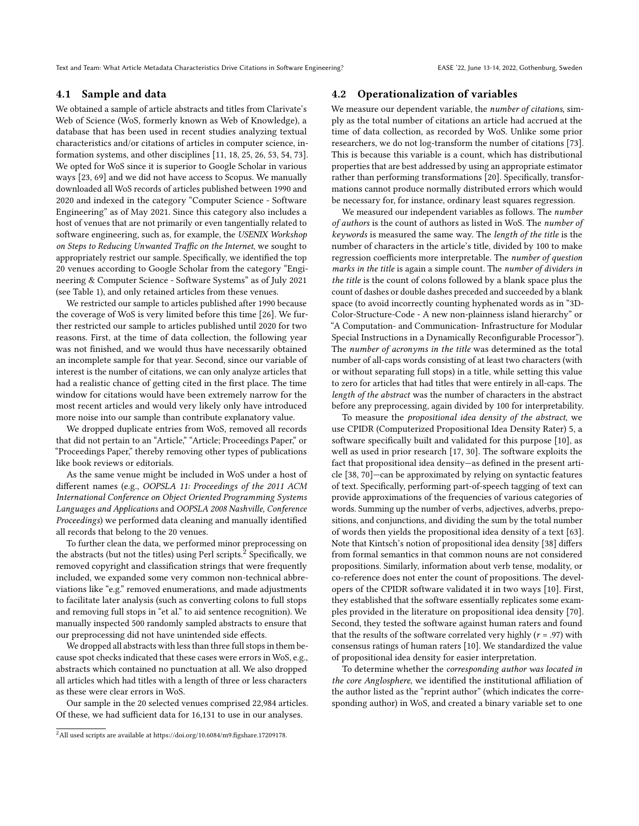Text and Team: What Article Metadata Characteristics Drive Citations in Software Engineering? EASE '22, June 13-14, 2022, Gothenburg, Sweden

## 4.1 Sample and data

We obtained a sample of article abstracts and titles from Clarivate's Web of Science (WoS, formerly known as Web of Knowledge), a database that has been used in recent studies analyzing textual characteristics and/or citations of articles in computer science, information systems, and other disciplines [\[11,](#page-8-7) [18,](#page-8-19) [25,](#page-8-23) [26,](#page-8-24) [53,](#page-9-14) [54,](#page-9-6) [73\]](#page-9-8). We opted for WoS since it is superior to Google Scholar in various ways [\[23,](#page-8-5) [69\]](#page-9-7) and we did not have access to Scopus. We manually downloaded all WoS records of articles published between 1990 and 2020 and indexed in the category "Computer Science - Software Engineering" as of May 2021. Since this category also includes a host of venues that are not primarily or even tangentially related to software engineering, such as, for example, the USENIX Workshop on Steps to Reducing Unwanted Traffic on the Internet, we sought to appropriately restrict our sample. Specifically, we identified the top 20 venues according to Google Scholar from the category "Engineering & Computer Science - Software Systems" as of July 2021 (see Table [1\)](#page-5-0), and only retained articles from these venues.

We restricted our sample to articles published after 1990 because the coverage of WoS is very limited before this time [\[26\]](#page-8-24). We further restricted our sample to articles published until 2020 for two reasons. First, at the time of data collection, the following year was not finished, and we would thus have necessarily obtained an incomplete sample for that year. Second, since our variable of interest is the number of citations, we can only analyze articles that had a realistic chance of getting cited in the first place. The time window for citations would have been extremely narrow for the most recent articles and would very likely only have introduced more noise into our sample than contribute explanatory value.

We dropped duplicate entries from WoS, removed all records that did not pertain to an "Article," "Article; Proceedings Paper," or "Proceedings Paper," thereby removing other types of publications like book reviews or editorials.

As the same venue might be included in WoS under a host of different names (e.g., OOPSLA 11: Proceedings of the 2011 ACM International Conference on Object Oriented Programming Systems Languages and Applications and OOPSLA 2008 Nashville, Conference Proceedings) we performed data cleaning and manually identified all records that belong to the 20 venues.

To further clean the data, we performed minor preprocessing on the abstracts (but not the titles) using Perl scripts. $2$  Specifically, we removed copyright and classification strings that were frequently included, we expanded some very common non-technical abbreviations like "e.g." removed enumerations, and made adjustments to facilitate later analysis (such as converting colons to full stops and removing full stops in "et al." to aid sentence recognition). We manually inspected 500 randomly sampled abstracts to ensure that our preprocessing did not have unintended side effects.

We dropped all abstracts with less than three full stops in them because spot checks indicated that these cases were errors in WoS, e.g., abstracts which contained no punctuation at all. We also dropped all articles which had titles with a length of three or less characters as these were clear errors in WoS.

Our sample in the 20 selected venues comprised 22,984 articles. Of these, we had sufficient data for 16,131 to use in our analyses.

#### 4.2 Operationalization of variables

We measure our dependent variable, the number of citations, simply as the total number of citations an article had accrued at the time of data collection, as recorded by WoS. Unlike some prior researchers, we do not log-transform the number of citations [\[73\]](#page-9-8). This is because this variable is a count, which has distributional properties that are best addressed by using an appropriate estimator rather than performing transformations [\[20\]](#page-8-25). Specifically, transformations cannot produce normally distributed errors which would be necessary for, for instance, ordinary least squares regression.

We measured our independent variables as follows. The number of authors is the count of authors as listed in WoS. The number of keywords is measured the same way. The length of the title is the number of characters in the article's title, divided by 100 to make regression coefficients more interpretable. The number of question marks in the title is again a simple count. The number of dividers in the title is the count of colons followed by a blank space plus the count of dashes or double dashes preceded and succeeded by a blank space (to avoid incorrectly counting hyphenated words as in "3D-Color-Structure-Code - A new non-plainness island hierarchy" or "A Computation- and Communication- Infrastructure for Modular Special Instructions in a Dynamically Reconfigurable Processor"). The number of acronyms in the title was determined as the total number of all-caps words consisting of at least two characters (with or without separating full stops) in a title, while setting this value to zero for articles that had titles that were entirely in all-caps. The length of the abstract was the number of characters in the abstract before any preprocessing, again divided by 100 for interpretability.

To measure the propositional idea density of the abstract, we use CPIDR (Computerized Propositional Idea Density Rater) 5, a software specifically built and validated for this purpose [\[10\]](#page-8-26), as well as used in prior research [\[17,](#page-8-27) [30\]](#page-8-21). The software exploits the fact that propositional idea density—as defined in the present article [\[38,](#page-9-32) [70\]](#page-9-38)—can be approximated by relying on syntactic features of text. Specifically, performing part-of-speech tagging of text can provide approximations of the frequencies of various categories of words. Summing up the number of verbs, adjectives, adverbs, prepositions, and conjunctions, and dividing the sum by the total number of words then yields the propositional idea density of a text [\[63\]](#page-9-39). Note that Kintsch's notion of propositional idea density [\[38\]](#page-9-32) differs from formal semantics in that common nouns are not considered propositions. Similarly, information about verb tense, modality, or co-reference does not enter the count of propositions. The developers of the CPIDR software validated it in two ways [\[10\]](#page-8-26). First, they established that the software essentially replicates some examples provided in the literature on propositional idea density [\[70\]](#page-9-38). Second, they tested the software against human raters and found that the results of the software correlated very highly ( $r = .97$ ) with consensus ratings of human raters [\[10\]](#page-8-26). We standardized the value of propositional idea density for easier interpretation.

To determine whether the corresponding author was located in the core Anglosphere, we identified the institutional affiliation of the author listed as the "reprint author" (which indicates the corresponding author) in WoS, and created a binary variable set to one

<span id="page-4-0"></span><sup>&</sup>lt;sup>2</sup>All used scripts are available at [https://doi.org/10.6084/m9.figshare.17209178.](https://doi.org/10.6084/m9.figshare.17209178)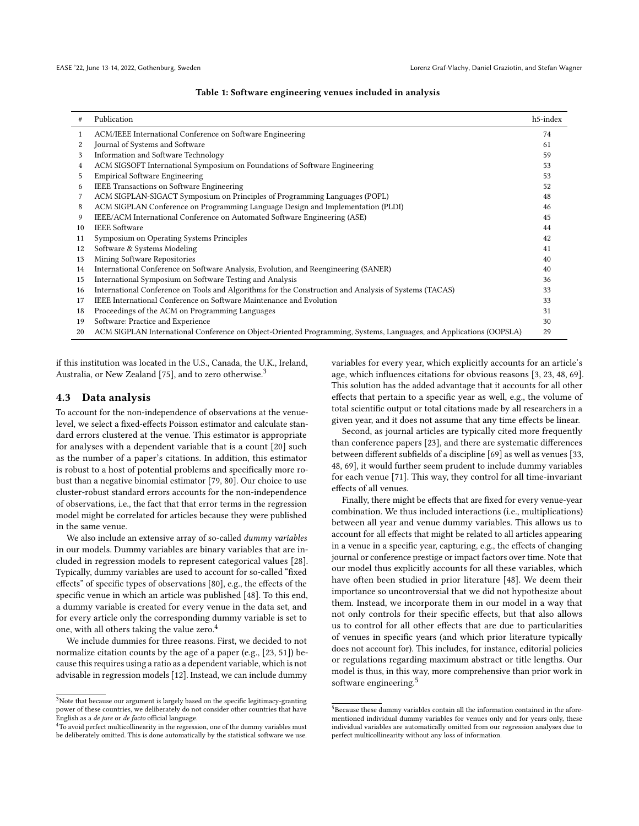|  | Table 1: Software engineering venues included in analysis |  |  |  |  |
|--|-----------------------------------------------------------|--|--|--|--|

<span id="page-5-0"></span>

| #  | Publication                                                                                                        | h5-index |
|----|--------------------------------------------------------------------------------------------------------------------|----------|
|    | ACM/IEEE International Conference on Software Engineering                                                          | 74       |
|    | Journal of Systems and Software                                                                                    | 61       |
| 3  | Information and Software Technology                                                                                | 59       |
| 4  | ACM SIGSOFT International Symposium on Foundations of Software Engineering                                         | 53       |
| 5  | <b>Empirical Software Engineering</b>                                                                              | 53       |
| 6  | <b>IEEE Transactions on Software Engineering</b>                                                                   | 52       |
|    | ACM SIGPLAN-SIGACT Symposium on Principles of Programming Languages (POPL)                                         | 48       |
| 8  | ACM SIGPLAN Conference on Programming Language Design and Implementation (PLDI)                                    | 46       |
| 9  | IEEE/ACM International Conference on Automated Software Engineering (ASE)                                          | 45       |
| 10 | <b>IEEE</b> Software                                                                                               | 44       |
| 11 | Symposium on Operating Systems Principles                                                                          | 42       |
| 12 | Software & Systems Modeling                                                                                        | 41       |
| 13 | Mining Software Repositories                                                                                       | 40       |
| 14 | International Conference on Software Analysis, Evolution, and Reengineering (SANER)                                | 40       |
| 15 | International Symposium on Software Testing and Analysis                                                           | 36       |
| 16 | International Conference on Tools and Algorithms for the Construction and Analysis of Systems (TACAS)              | 33       |
| 17 | <b>IEEE</b> International Conference on Software Maintenance and Evolution                                         | 33       |
| 18 | Proceedings of the ACM on Programming Languages                                                                    | 31       |
| 19 | Software: Practice and Experience                                                                                  | 30       |
| 20 | ACM SIGPLAN International Conference on Object-Oriented Programming, Systems, Languages, and Applications (OOPSLA) | 29       |

if this institution was located in the U.S., Canada, the U.K., Ireland, Australia, or New Zealand [\[75\]](#page-9-37), and to zero otherwise.<sup>[3](#page-5-1)</sup>

## 4.3 Data analysis

To account for the non-independence of observations at the venuelevel, we select a fixed-effects Poisson estimator and calculate standard errors clustered at the venue. This estimator is appropriate for analyses with a dependent variable that is a count [\[20\]](#page-8-25) such as the number of a paper's citations. In addition, this estimator is robust to a host of potential problems and specifically more robust than a negative binomial estimator [\[79,](#page-9-40) [80\]](#page-9-41). Our choice to use cluster-robust standard errors accounts for the non-independence of observations, i.e., the fact that that error terms in the regression model might be correlated for articles because they were published in the same venue.

We also include an extensive array of so-called dummy variables in our models. Dummy variables are binary variables that are included in regression models to represent categorical values [\[28\]](#page-8-28). Typically, dummy variables are used to account for so-called "fixed effects" of specific types of observations [\[80\]](#page-9-41), e.g., the effects of the specific venue in which an article was published [\[48\]](#page-9-10). To this end, a dummy variable is created for every venue in the data set, and for every article only the corresponding dummy variable is set to one, with all others taking the value zero.[4](#page-5-2)

We include dummies for three reasons. First, we decided to not normalize citation counts by the age of a paper (e.g., [\[23,](#page-8-5) [51\]](#page-9-9)) because this requires using a ratio as a dependent variable, which is not advisable in regression models [\[12\]](#page-8-29). Instead, we can include dummy variables for every year, which explicitly accounts for an article's age, which influences citations for obvious reasons [\[3,](#page-8-14) [23,](#page-8-5) [48,](#page-9-10) [69\]](#page-9-7). This solution has the added advantage that it accounts for all other effects that pertain to a specific year as well, e.g., the volume of total scientific output or total citations made by all researchers in a given year, and it does not assume that any time effects be linear.

Second, as journal articles are typically cited more frequently than conference papers [\[23\]](#page-8-5), and there are systematic differences between different subfields of a discipline [\[69\]](#page-9-7) as well as venues [\[33,](#page-8-9) [48,](#page-9-10) [69\]](#page-9-7), it would further seem prudent to include dummy variables for each venue [\[71\]](#page-9-17). This way, they control for all time-invariant effects of all venues.

Finally, there might be effects that are fixed for every venue-year combination. We thus included interactions (i.e., multiplications) between all year and venue dummy variables. This allows us to account for all effects that might be related to all articles appearing in a venue in a specific year, capturing, e.g., the effects of changing journal or conference prestige or impact factors over time. Note that our model thus explicitly accounts for all these variables, which have often been studied in prior literature [\[48\]](#page-9-10). We deem their importance so uncontroversial that we did not hypothesize about them. Instead, we incorporate them in our model in a way that not only controls for their specific effects, but that also allows us to control for all other effects that are due to particularities of venues in specific years (and which prior literature typically does not account for). This includes, for instance, editorial policies or regulations regarding maximum abstract or title lengths. Our model is thus, in this way, more comprehensive than prior work in software engineering.<sup>[5](#page-5-3)</sup>

<span id="page-5-1"></span> $^3\rm{Note}$  that because our argument is largely based on the specific legitimacy-granting power of these countries, we deliberately do not consider other countries that have English as a de jure or de facto official language.

<span id="page-5-2"></span><sup>&</sup>lt;sup>4</sup>To avoid perfect multicollinearity in the regression, one of the dummy variables must be deliberately omitted. This is done automatically by the statistical software we use.

<span id="page-5-3"></span> $5$ Because these dummy variables contain all the information contained in the aforementioned individual dummy variables for venues only and for years only, these individual variables are automatically omitted from our regression analyses due to perfect multicollinearity without any loss of information.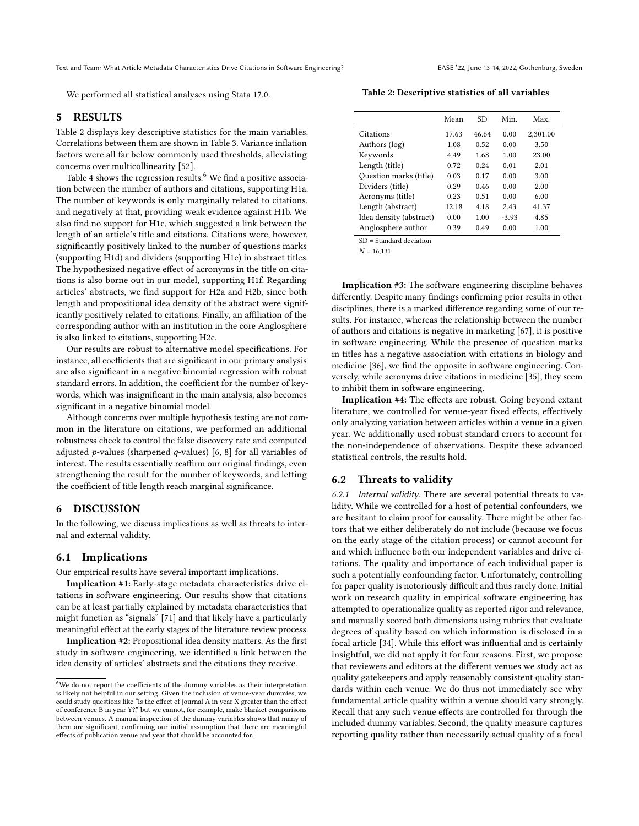We performed all statistical analyses using Stata 17.0.

#### 5 RESULTS

Table [2](#page-6-0) displays key descriptive statistics for the main variables. Correlations between them are shown in Table [3.](#page-7-0) Variance inflation factors were all far below commonly used thresholds, alleviating concerns over multicollinearity [\[52\]](#page-9-42).

Table [4](#page-7-1) shows the regression results.<sup>[6](#page-6-1)</sup> We find a positive association between the number of authors and citations, supporting H1a. The number of keywords is only marginally related to citations, and negatively at that, providing weak evidence against H1b. We also find no support for H1c, which suggested a link between the length of an article's title and citations. Citations were, however, significantly positively linked to the number of questions marks (supporting H1d) and dividers (supporting H1e) in abstract titles. The hypothesized negative effect of acronyms in the title on citations is also borne out in our model, supporting H1f. Regarding articles' abstracts, we find support for H2a and H2b, since both length and propositional idea density of the abstract were significantly positively related to citations. Finally, an affiliation of the corresponding author with an institution in the core Anglosphere is also linked to citations, supporting H2c.

Our results are robust to alternative model specifications. For instance, all coefficients that are significant in our primary analysis are also significant in a negative binomial regression with robust standard errors. In addition, the coefficient for the number of keywords, which was insignificant in the main analysis, also becomes significant in a negative binomial model.

Although concerns over multiple hypothesis testing are not common in the literature on citations, we performed an additional robustness check to control the false discovery rate and computed adjusted p-values (sharpened q-values) [\[6,](#page-8-30) [8\]](#page-8-31) for all variables of interest. The results essentially reaffirm our original findings, even strengthening the result for the number of keywords, and letting the coefficient of title length reach marginal significance.

#### 6 DISCUSSION

In the following, we discuss implications as well as threats to internal and external validity.

#### 6.1 Implications

Our empirical results have several important implications.

Implication #1: Early-stage metadata characteristics drive citations in software engineering. Our results show that citations can be at least partially explained by metadata characteristics that might function as "signals" [\[71\]](#page-9-17) and that likely have a particularly meaningful effect at the early stages of the literature review process.

Implication #2: Propositional idea density matters. As the first study in software engineering, we identified a link between the idea density of articles' abstracts and the citations they receive.

<span id="page-6-0"></span>Table 2: Descriptive statistics of all variables

|                         | Mean  | SD.   | Min.    | Max.     |
|-------------------------|-------|-------|---------|----------|
| Citations               | 17.63 | 46.64 | 0.00    | 2,301.00 |
| Authors (log)           | 1.08  | 0.52  | 0.00    | 3.50     |
| Keywords                | 4.49  | 1.68  | 1.00    | 23.00    |
| Length (title)          | 0.72  | 0.24  | 0.01    | 2.01     |
| Question marks (title)  | 0.03  | 0.17  | 0.00    | 3.00     |
| Dividers (title)        | 0.29  | 046   | 0.00    | 2.00     |
| Acronyms (title)        | 0.23  | 0.51  | 0.00    | 6.00     |
| Length (abstract)       | 12.18 | 4.18  | 2.43    | 41.37    |
| Idea density (abstract) | 0.00  | 1.00  | $-3.93$ | 4.85     |
| Anglosphere author      | 0.39  | 0.49  | 0.00    | 1.00     |
|                         |       |       |         |          |

SD = Standard deviation

 $N = 16,131$ 

Implication #3: The software engineering discipline behaves differently. Despite many findings confirming prior results in other disciplines, there is a marked difference regarding some of our results. For instance, whereas the relationship between the number of authors and citations is negative in marketing [\[67\]](#page-9-20), it is positive in software engineering. While the presence of question marks in titles has a negative association with citations in biology and medicine [\[36\]](#page-9-11), we find the opposite in software engineering. Conversely, while acronyms drive citations in medicine [\[35\]](#page-9-28), they seem to inhibit them in software engineering.

Implication #4: The effects are robust. Going beyond extant literature, we controlled for venue-year fixed effects, effectively only analyzing variation between articles within a venue in a given year. We additionally used robust standard errors to account for the non-independence of observations. Despite these advanced statistical controls, the results hold.

#### 6.2 Threats to validity

6.2.1 Internal validity. There are several potential threats to validity. While we controlled for a host of potential confounders, we are hesitant to claim proof for causality. There might be other factors that we either deliberately do not include (because we focus on the early stage of the citation process) or cannot account for and which influence both our independent variables and drive citations. The quality and importance of each individual paper is such a potentially confounding factor. Unfortunately, controlling for paper quality is notoriously difficult and thus rarely done. Initial work on research quality in empirical software engineering has attempted to operationalize quality as reported rigor and relevance, and manually scored both dimensions using rubrics that evaluate degrees of quality based on which information is disclosed in a focal article [\[34\]](#page-9-43). While this effort was influential and is certainly insightful, we did not apply it for four reasons. First, we propose that reviewers and editors at the different venues we study act as quality gatekeepers and apply reasonably consistent quality standards within each venue. We do thus not immediately see why fundamental article quality within a venue should vary strongly. Recall that any such venue effects are controlled for through the included dummy variables. Second, the quality measure captures reporting quality rather than necessarily actual quality of a focal

<span id="page-6-1"></span><sup>&</sup>lt;sup>6</sup>We do not report the coefficients of the dummy variables as their interpretation is likely not helpful in our setting. Given the inclusion of venue-year dummies, we could study questions like "Is the effect of journal A in year X greater than the effect of conference B in year Y?," but we cannot, for example, make blanket comparisons between venues. A manual inspection of the dummy variables shows that many of them are significant, confirming our initial assumption that there are meaningful effects of publication venue and year that should be accounted for.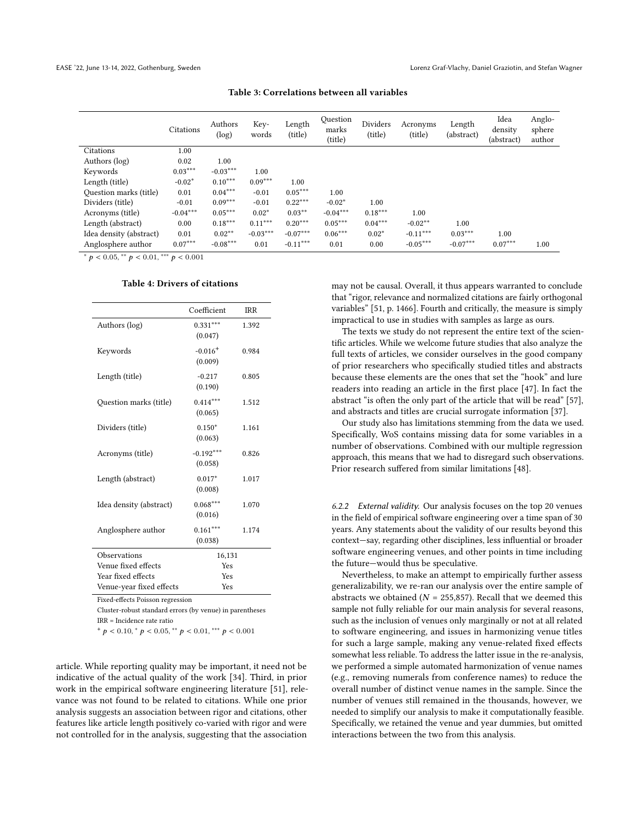<span id="page-7-0"></span>

|                         | Citations  | Authors<br>(log) | Key-<br>words | Length<br>(title) | Question<br>marks<br>(title) | Dividers<br>(title) | Acronyms<br>(title) | Length<br>(abstract) | Idea<br>density<br>(abstract) | Anglo-<br>sphere<br>author |
|-------------------------|------------|------------------|---------------|-------------------|------------------------------|---------------------|---------------------|----------------------|-------------------------------|----------------------------|
| Citations               | 1.00       |                  |               |                   |                              |                     |                     |                      |                               |                            |
| Authors (log)           | 0.02       | 1.00             |               |                   |                              |                     |                     |                      |                               |                            |
| Keywords                | $0.03***$  | $-0.03***$       | 1.00          |                   |                              |                     |                     |                      |                               |                            |
| Length (title)          | $-0.02*$   | $0.10***$        | $0.09***$     | 1.00              |                              |                     |                     |                      |                               |                            |
| Question marks (title)  | 0.01       | $0.04***$        | $-0.01$       | $0.05***$         | 1.00                         |                     |                     |                      |                               |                            |
| Dividers (title)        | $-0.01$    | $0.09***$        | $-0.01$       | $0.22***$         | $-0.02*$                     | 1.00                |                     |                      |                               |                            |
| Acronyms (title)        | $-0.04***$ | $0.05***$        | $0.02*$       | $0.03**$          | $-0.04***$                   | $0.18***$           | 1.00                |                      |                               |                            |
| Length (abstract)       | 0.00       | $0.18***$        | $0.11***$     | $0.20***$         | $0.05***$                    | $0.04***$           | $-0.02**$           | 1.00                 |                               |                            |
| Idea density (abstract) | 0.01       | $0.02**$         | $-0.03***$    | $-0.07***$        | $0.06***$                    | $0.02*$             | $-0.11***$          | $0.03***$            | 1.00                          |                            |
| Anglosphere author      | $0.07***$  | $-0.08***$       | 0.01          | $-0.11***$        | 0.01                         | 0.00                | $-0.05***$          | $-0.07***$           | $0.07***$                     | 1.00                       |

Table 3: Correlations between all variables

<span id="page-7-1"></span>\*  $p < 0.05$ , \*\*  $p < 0.01$ , \*\*\*  $p < 0.001$ 

#### Table 4: Drivers of citations

|                                                                                            | Coefficient | <b>IRR</b> |  |  |  |
|--------------------------------------------------------------------------------------------|-------------|------------|--|--|--|
| Authors (log)                                                                              | $0.331***$  | 1.392      |  |  |  |
|                                                                                            | (0.047)     |            |  |  |  |
| Keywords                                                                                   | $-0.016+$   | 0.984      |  |  |  |
|                                                                                            | (0.009)     |            |  |  |  |
| Length (title)                                                                             | $-0.217$    | 0.805      |  |  |  |
|                                                                                            | (0.190)     |            |  |  |  |
| Question marks (title)                                                                     | $0.414***$  | 1.512      |  |  |  |
|                                                                                            | (0.065)     |            |  |  |  |
| Dividers (title)                                                                           | $0.150*$    | 1.161      |  |  |  |
|                                                                                            | (0.063)     |            |  |  |  |
| Acronyms (title)                                                                           | $-0.192***$ | 0.826      |  |  |  |
|                                                                                            | (0.058)     |            |  |  |  |
| Length (abstract)                                                                          | $0.017*$    | 1.017      |  |  |  |
|                                                                                            | (0.008)     |            |  |  |  |
| Idea density (abstract)                                                                    | $0.068***$  | 1.070      |  |  |  |
|                                                                                            | (0.016)     |            |  |  |  |
| Anglosphere author                                                                         | $0.161***$  | 1.174      |  |  |  |
|                                                                                            | (0.038)     |            |  |  |  |
| Observations                                                                               | 16,131      |            |  |  |  |
| Venue fixed effects                                                                        | Yes         |            |  |  |  |
| Year fixed effects                                                                         | Yes         |            |  |  |  |
| Venue-year fixed effects<br>Yes<br>$P_{total} = \frac{\Delta P_{total}}{\Delta P_{total}}$ |             |            |  |  |  |

Fixed-effects Poisson regression

Cluster-robust standard errors (by venue) in parentheses IRR = Incidence rate ratio

 $+p < 0.10, p < 0.05, p < 0.01, p < 0.001$ 

article. While reporting quality may be important, it need not be indicative of the actual quality of the work [\[34\]](#page-9-43). Third, in prior work in the empirical software engineering literature [\[51\]](#page-9-9), relevance was not found to be related to citations. While one prior analysis suggests an association between rigor and citations, other features like article length positively co-varied with rigor and were not controlled for in the analysis, suggesting that the association

may not be causal. Overall, it thus appears warranted to conclude that "rigor, relevance and normalized citations are fairly orthogonal variables" [\[51,](#page-9-9) p. 1466]. Fourth and critically, the measure is simply impractical to use in studies with samples as large as ours.

The texts we study do not represent the entire text of the scientific articles. While we welcome future studies that also analyze the full texts of articles, we consider ourselves in the good company of prior researchers who specifically studied titles and abstracts because these elements are the ones that set the "hook" and lure readers into reading an article in the first place [\[47\]](#page-9-44). In fact the abstract "is often the only part of the article that will be read" [\[57\]](#page-9-45), and abstracts and titles are crucial surrogate information [\[37\]](#page-9-31).

Our study also has limitations stemming from the data we used. Specifically, WoS contains missing data for some variables in a number of observations. Combined with our multiple regression approach, this means that we had to disregard such observations. Prior research suffered from similar limitations [\[48\]](#page-9-10).

6.2.2 External validity. Our analysis focuses on the top 20 venues in the field of empirical software engineering over a time span of 30 years. Any statements about the validity of our results beyond this context—say, regarding other disciplines, less influential or broader software engineering venues, and other points in time including the future—would thus be speculative.

Nevertheless, to make an attempt to empirically further assess generalizability, we re-ran our analysis over the entire sample of abstracts we obtained ( $N = 255,857$ ). Recall that we deemed this sample not fully reliable for our main analysis for several reasons, such as the inclusion of venues only marginally or not at all related to software engineering, and issues in harmonizing venue titles for such a large sample, making any venue-related fixed effects somewhat less reliable. To address the latter issue in the re-analysis, we performed a simple automated harmonization of venue names (e.g., removing numerals from conference names) to reduce the overall number of distinct venue names in the sample. Since the number of venues still remained in the thousands, however, we needed to simplify our analysis to make it computationally feasible. Specifically, we retained the venue and year dummies, but omitted interactions between the two from this analysis.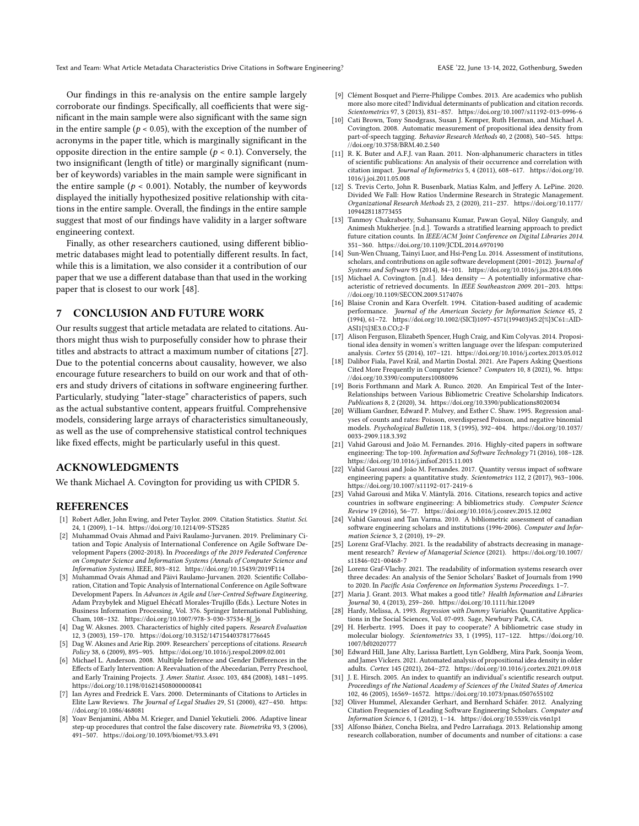Text and Team: What Article Metadata Characteristics Drive Citations in Software Engineering? EASE '22, June 13-14, 2022, Gothenburg, Sweden

Our findings in this re-analysis on the entire sample largely corroborate our findings. Specifically, all coefficients that were significant in the main sample were also significant with the same sign in the entire sample ( $p < 0.05$ ), with the exception of the number of acronyms in the paper title, which is marginally significant in the opposite direction in the entire sample ( $p < 0.1$ ). Conversely, the two insignificant (length of title) or marginally significant (number of keywords) variables in the main sample were significant in the entire sample ( $p < 0.001$ ). Notably, the number of keywords displayed the initially hypothesized positive relationship with citations in the entire sample. Overall, the findings in the entire sample suggest that most of our findings have validity in a larger software engineering context.

Finally, as other researchers cautioned, using different bibliometric databases might lead to potentially different results. In fact, while this is a limitation, we also consider it a contribution of our paper that we use a different database than that used in the working paper that is closest to our work [\[48\]](#page-9-10).

#### 7 CONCLUSION AND FUTURE WORK

Our results suggest that article metadata are related to citations. Authors might thus wish to purposefully consider how to phrase their titles and abstracts to attract a maximum number of citations [\[27\]](#page-8-32). Due to the potential concerns about causality, however, we also encourage future researchers to build on our work and that of others and study drivers of citations in software engineering further. Particularly, studying "later-stage" characteristics of papers, such as the actual substantive content, appears fruitful. Comprehensive models, considering large arrays of characteristics simultaneously, as well as the use of comprehensive statistical control techniques like fixed effects, might be particularly useful in this quest.

## ACKNOWLEDGMENTS

We thank Michael A. Covington for providing us with CPIDR 5.

## REFERENCES

- <span id="page-8-0"></span>[1] Robert Adler, John Ewing, and Peter Taylor. 2009. Citation Statistics. Statist. Sci. 24, 1 (2009), 1–14.<https://doi.org/10.1214/09-STS285>
- <span id="page-8-15"></span>[2] Muhammad Ovais Ahmad and Paivi Raulamo-Jurvanen. 2019. Preliminary Citation and Topic Analysis of International Conference on Agile Software Development Papers (2002-2018). In Proceedings of the 2019 Federated Conference on Computer Science and Information Systems (Annals of Computer Science and Information Systems). IEEE, 803–812.<https://doi.org/10.15439/2019F114>
- <span id="page-8-14"></span>[3] Muhammad Ovais Ahmad and Päivi Raulamo-Jurvanen. 2020. Scientific Collaboration, Citation and Topic Analysis of International Conference on Agile Software Development Papers. In Advances in Agile and User-Centred Software Engineering, Adam Przybyłek and Miguel Ehécatl Morales-Trujillo (Eds.). Lecture Notes in Business Information Processing, Vol. 376. Springer International Publishing, Cham, 108–132. [https://doi.org/10.1007/978-3-030-37534-8{\\_}6](https://doi.org/10.1007/978-3-030-37534-8{_}6)
- <span id="page-8-4"></span>[4] Dag W. Aksnes. 2003. Characteristics of highly cited papers. Research Evaluation 12, 3 (2003), 159–170.<https://doi.org/10.3152/147154403781776645>
- <span id="page-8-1"></span>[5] Dag W. Aksnes and Arie Rip. 2009. Researchers' perceptions of citations. Research Policy 38, 6 (2009), 895–905.<https://doi.org/10.1016/j.respol.2009.02.001>
- <span id="page-8-30"></span>[6] Michael L. Anderson. 2008. Multiple Inference and Gender Differences in the Effects of Early Intervention: A Reevaluation of the Abecedarian, Perry Preschool, and Early Training Projects. J. Amer. Statist. Assoc. 103, 484 (2008), 1481–1495. <https://doi.org/10.1198/016214508000000841>
- <span id="page-8-6"></span>[7] Ian Ayres and Fredrick E. Vars. 2000. Determinants of Citations to Articles in Elite Law Reviews. The Journal of Legal Studies 29, S1 (2000), 427–450. [https:](https://doi.org/10.1086/468081) [//doi.org/10.1086/468081](https://doi.org/10.1086/468081)
- <span id="page-8-31"></span>[8] Yoav Benjamini, Abba M. Krieger, and Daniel Yekutieli. 2006. Adaptive linear step-up procedures that control the false discovery rate. Biometrika 93, 3 (2006), 491–507.<https://doi.org/10.1093/biomet/93.3.491>
- <span id="page-8-18"></span>[9] Clément Bosquet and Pierre-Philippe Combes. 2013. Are academics who publish more also more cited? Individual determinants of publication and citation records. Scientometrics 97, 3 (2013), 831–857.<https://doi.org/10.1007/s11192-013-0996-6>
- <span id="page-8-26"></span>[10] Cati Brown, Tony Snodgrass, Susan J. Kemper, Ruth Herman, and Michael A. Covington. 2008. Automatic measurement of propositional idea density from part-of-speech tagging. Behavior Research Methods 40, 2 (2008), 540-545. [https:](https://doi.org/10.3758/BRM.40.2.540) [//doi.org/10.3758/BRM.40.2.540](https://doi.org/10.3758/BRM.40.2.540)
- <span id="page-8-7"></span>[11] R. K. Buter and A.F.J. van Raan. 2011. Non-alphanumeric characters in titles of scientific publications: An analysis of their occurrence and correlation with citation impact. Journal of Informetrics 5, 4 (2011), 608–617. [https://doi.org/10.](https://doi.org/10.1016/j.joi.2011.05.008) [1016/j.joi.2011.05.008](https://doi.org/10.1016/j.joi.2011.05.008)
- <span id="page-8-29"></span>[12] S. Trevis Certo, John R. Busenbark, Matias Kalm, and Jeffery A. LePine. 2020. Divided We Fall: How Ratios Undermine Research in Strategic Management. Organizational Research Methods 23, 2 (2020), 211–237. [https://doi.org/10.1177/](https://doi.org/10.1177/1094428118773455) [1094428118773455](https://doi.org/10.1177/1094428118773455)
- <span id="page-8-8"></span>[13] Tanmoy Chakraborty, Suhansanu Kumar, Pawan Goyal, Niloy Ganguly, and Animesh Mukherjee. [n.d.]. Towards a stratified learning approach to predict future citation counts. In IEEE/ACM Joint Conference on Digital Libraries 2014. 351–360.<https://doi.org/10.1109/JCDL.2014.6970190>
- <span id="page-8-13"></span>[14] Sun-Wen Chuang, Tainyi Luor, and Hsi-Peng Lu. 2014. Assessment of institutions, scholars, and contributions on agile software development (2001-2012). Journal of Systems and Software 93 (2014), 84–101.<https://doi.org/10.1016/j.jss.2014.03.006>
- <span id="page-8-20"></span>[15] Michael A. Covington. [n.d.]. Idea density - A potentially informative characteristic of retrieved documents. In IEEE Southeastcon 2009. 201–203. [https:](https://doi.org/10.1109/SECON.2009.5174076) [//doi.org/10.1109/SECON.2009.5174076](https://doi.org/10.1109/SECON.2009.5174076)
- <span id="page-8-2"></span>[16] Blaise Cronin and Kara Overfelt. 1994. Citation-based auditing of academic performance. Journal of the American Society for Information Science 45, 2 (1994), 61–72. [https://doi.org/10.1002/\(SICI\)1097-4571\(199403\)45:2{%}3C61::AID-](https://doi.org/10.1002/(SICI)1097-4571(199403)45:2{%}3C61::AID-ASI1{%}3E3.0.CO;2-F)[ASI1{%}3E3.0.CO;2-F](https://doi.org/10.1002/(SICI)1097-4571(199403)45:2{%}3C61::AID-ASI1{%}3E3.0.CO;2-F)
- <span id="page-8-27"></span>[17] Alison Ferguson, Elizabeth Spencer, Hugh Craig, and Kim Colyvas. 2014. Propositional idea density in women's written language over the lifespan: computerized analysis. Cortex 55 (2014), 107–121.<https://doi.org/10.1016/j.cortex.2013.05.012>
- <span id="page-8-19"></span>[18] Dalibor Fiala, Pavel Král, and Martin Dostal, 2021. Are Papers Asking Ouestions Cited More Frequently in Computer Science? Computers 10, 8 (2021), 96. [https:](https://doi.org/10.3390/computers10080096) [//doi.org/10.3390/computers10080096](https://doi.org/10.3390/computers10080096)
- <span id="page-8-22"></span>[19] Boris Forthmann and Mark A. Runco. 2020. An Empirical Test of the Inter-Relationships between Various Bibliometric Creative Scholarship Indicators.  $Publications$  8, 2 (2020), 34.<https://doi.org/10.3390/publications8020034>
- <span id="page-8-25"></span>[20] William Gardner, Edward P. Mulvey, and Esther C. Shaw. 1995. Regression analyses of counts and rates: Poisson, overdispersed Poisson, and negative binomial models. Psychological Bulletin 118, 3 (1995), 392–404. [https://doi.org/10.1037/](https://doi.org/10.1037/0033-2909.118.3.392) [0033-2909.118.3.392](https://doi.org/10.1037/0033-2909.118.3.392)
- <span id="page-8-10"></span>[21] Vahid Garousi and João M. Fernandes. 2016. Highly-cited papers in software engineering: The top-100. Information and Software Technology 71 (2016), 108–128. <https://doi.org/10.1016/j.infsof.2015.11.003>
- <span id="page-8-16"></span>[22] Vahid Garousi and João M. Fernandes. 2017. Quantity versus impact of software engineering papers: a quantitative study. Scientometrics 112, 2 (2017), 963–1006. <https://doi.org/10.1007/s11192-017-2419-6>
- <span id="page-8-5"></span>[23] Vahid Garousi and Mika V. Mäntylä. 2016. Citations, research topics and active countries in software engineering: A bibliometrics study. Computer Science Review 19 (2016), 56–77.<https://doi.org/10.1016/j.cosrev.2015.12.002>
- <span id="page-8-11"></span>[24] Vahid Garousi and Tan Varma. 2010. A bibliometric assessment of canadian software engineering scholars and institutions (1996-2006). Computer and Information Science 3, 2 (2010), 19–29.
- <span id="page-8-23"></span>[25] Lorenz Graf-Vlachy. 2021. Is the readability of abstracts decreasing in management research? Review of Managerial Science (2021). [https://doi.org/10.1007/](https://doi.org/10.1007/s11846-021-00468-7) [s11846-021-00468-7](https://doi.org/10.1007/s11846-021-00468-7)
- <span id="page-8-24"></span>[26] Lorenz Graf-Vlachy. 2021. The readability of information systems research over three decades: An analysis of the Senior Scholars' Basket of Journals from 1990 to 2020. In Pacific Asia Conference on Information Systems Proceedings. 1–7.
- <span id="page-8-32"></span>[27] Maria J. Grant. 2013. What makes a good title? Health Information and Libraries Journal 30, 4 (2013), 259–260.<https://doi.org/10.1111/hir.12049>
- <span id="page-8-28"></span>[28] Hardy, Melissa, A. 1993. Regression with Dummy Variables. Quantitative Applications in the Social Sciences, Vol. 07-093. Sage, Newbury Park, CA.
- <span id="page-8-17"></span>[29] H. Herbertz. 1995. Does it pay to cooperate? A bibliometric case study in molecular biology. Scientometrics 33, 1 (1995), 117–122. [https://doi.org/10.](https://doi.org/10.1007/bf02020777) [1007/bf02020777](https://doi.org/10.1007/bf02020777)
- <span id="page-8-21"></span>[30] Edward Hill, Jane Alty, Larissa Bartlett, Lyn Goldberg, Mira Park, Soonja Yeom, and James Vickers. 2021. Automated analysis of propositional idea density in older adults. Cortex 145 (2021), 264–272.<https://doi.org/10.1016/j.cortex.2021.09.018>
- <span id="page-8-3"></span>[31] J. E. Hirsch. 2005. An index to quantify an individual's scientific research output. Proceedings of the National Academy of Sciences of the United States of America 102, 46 (2005), 16569–16572.<https://doi.org/10.1073/pnas.0507655102>
- <span id="page-8-12"></span>[32] Oliver Hummel, Alexander Gerhart, and Bernhard Schäfer. 2012. Analyzing Citation Frequencies of Leading Software Engineering Scholars. Computer and Information Science 6, 1 (2012), 1–14.<https://doi.org/10.5539/cis.v6n1p1>
- <span id="page-8-9"></span>[33] Alfonso Ibáñez, Concha Bielza, and Pedro Larrañaga. 2013. Relationship among research collaboration, number of documents and number of citations: a case